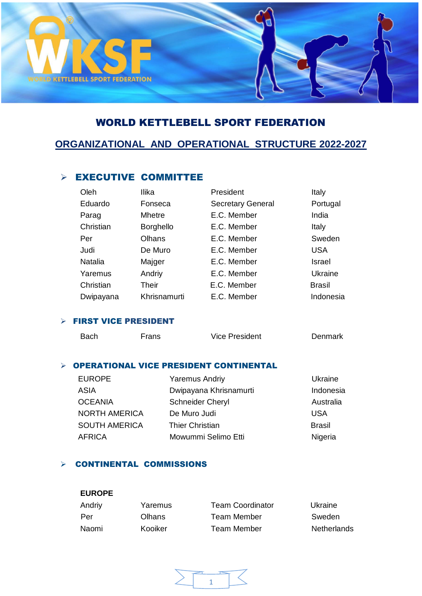

# WORLD KETTLEBELL SPORT FEDERATION

# **ORGANIZATIONAL AND OPERATIONAL STRUCTURE 2022-2027**

# $\triangleright$  EXECUTIVE COMMITTEE

| Oleh           | Ilika            | President                | Italy         |
|----------------|------------------|--------------------------|---------------|
| Eduardo        | Fonseca          | <b>Secretary General</b> | Portugal      |
| Parag          | <b>Mhetre</b>    | E.C. Member              | India         |
| Christian      | <b>Borghello</b> | E.C. Member              | Italy         |
| Per            | Olhans           | E.C. Member              | Sweden        |
| Judi           | De Muro          | E.C. Member              | <b>USA</b>    |
| <b>Natalia</b> | Majger           | E.C. Member              | Israel        |
| Yaremus        | Andriy           | E.C. Member              | Ukraine       |
| Christian      | Their            | E.C. Member              | <b>Brasil</b> |
| Dwipayana      | Khrisnamurti     | E.C. Member              | Indonesia     |

#### FIRST VICE PRESIDENT

| Bach | <b>Frans</b> | Vice President                                | Denmark |
|------|--------------|-----------------------------------------------|---------|
|      |              | <b>OPERATIONAL VICE PRESIDENT CONTINENTAL</b> |         |

#### RATIONAL VICE PRESIDENT CONTINENTAL EUROPE Yaremus Andriy Ukraine

| <b>EUROPE</b>        | Yaremus Andriy          | Ukraine       |
|----------------------|-------------------------|---------------|
| ASIA                 | Dwipayana Khrisnamurti  | Indonesia     |
| <b>OCEANIA</b>       | <b>Schneider Cheryl</b> | Australia     |
| <b>NORTH AMERICA</b> | De Muro Judi            | <b>USA</b>    |
| <b>SOUTH AMERICA</b> | <b>Thier Christian</b>  | <b>Brasil</b> |
| <b>AFRICA</b>        | Mowummi Selimo Etti     | Nigeria       |

### $\triangleright$  CONTINENTAL COMMISSIONS

#### **EUROPE**

| Andriy | Yaremus       | <b>Team Coordinator</b> | Ukraine     |
|--------|---------------|-------------------------|-------------|
| Per    | <b>Olhans</b> | Team Member             | Sweden      |
| Naomi  | Kooiker       | Team Member             | Netherlands |

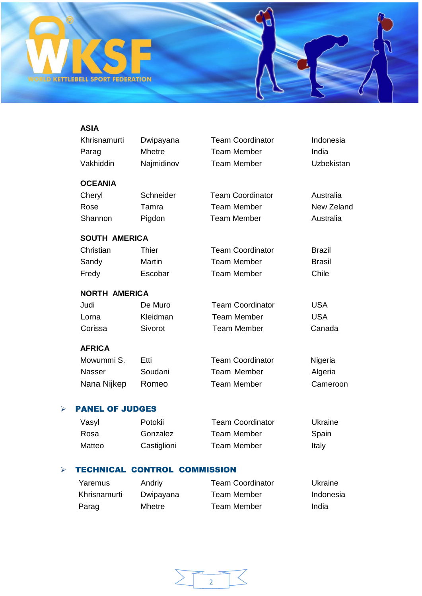

## **ASIA**

|                       | Khrisnamurti           | Dwipayana     | <b>Team Coordinator</b> | Indonesia         |
|-----------------------|------------------------|---------------|-------------------------|-------------------|
|                       | Parag                  | <b>Mhetre</b> | <b>Team Member</b>      | India             |
|                       | Vakhiddin              | Najmidinov    | <b>Team Member</b>      | <b>Uzbekistan</b> |
|                       | <b>OCEANIA</b>         |               |                         |                   |
|                       | Cheryl                 | Schneider     | <b>Team Coordinator</b> | Australia         |
|                       | Rose                   | Tamra         | <b>Team Member</b>      | New Zeland        |
|                       | Shannon                | Pigdon        | <b>Team Member</b>      | Australia         |
|                       | <b>SOUTH AMERICA</b>   |               |                         |                   |
|                       | Christian              | <b>Thier</b>  | <b>Team Coordinator</b> | <b>Brazil</b>     |
|                       | Sandy                  | Martin        | <b>Team Member</b>      | <b>Brasil</b>     |
|                       | Fredy                  | Escobar       | <b>Team Member</b>      | Chile             |
|                       | <b>NORTH AMERICA</b>   |               |                         |                   |
|                       | Judi                   | De Muro       | <b>Team Coordinator</b> | <b>USA</b>        |
|                       | Lorna                  | Kleidman      | <b>Team Member</b>      | <b>USA</b>        |
|                       | Corissa                | Sivorot       | <b>Team Member</b>      | Canada            |
|                       | <b>AFRICA</b>          |               |                         |                   |
|                       | Mowummi S.             | Etti          | <b>Team Coordinator</b> | Nigeria           |
|                       | Nasser                 | Soudani       | <b>Team Member</b>      | Algeria           |
|                       | Nana Nijkep            | Romeo         | <b>Team Member</b>      | Cameroon          |
| $\blacktriangleright$ | <b>PANEL OF JUDGES</b> |               |                         |                   |
|                       |                        |               |                         |                   |

# Vasyl Potokii Team Coordinator Ukraine Rosa Gonzalez Team Member Spain Matteo Castiglioni Team Member Italy

### **FECHNICAL CONTROL COMMISSION**

| Yaremus      | Andriy    | <b>Team Coordinator</b> | Ukraine   |
|--------------|-----------|-------------------------|-----------|
| Khrisnamurti | Dwipayana | <b>Team Member</b>      | Indonesia |
| Parag        | Mhetre    | Team Member             | India     |

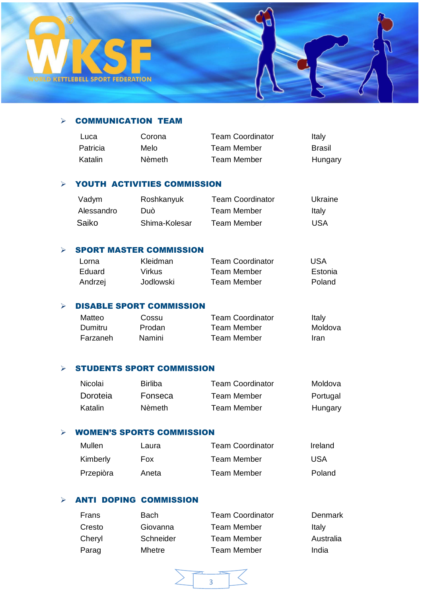

### $\triangleright$  COMMUNICATION TEAM

| Luca     | Corona | Team Coordinator | Italy   |
|----------|--------|------------------|---------|
| Patricia | Melo   | Team Member      | Brasil  |
| Katalin  | Nèmeth | Team Member      | Hungary |

#### YOUTH ACTIVITIES COMMISSION

|       | Vadym      | Roshkanyuk    | <b>Team Coordinator</b> | Ukraine |
|-------|------------|---------------|-------------------------|---------|
|       | Alessandro | Duò           | Team Member             | Italy   |
| Saiko |            | Shima-Kolesar | <b>Team Member</b>      | USA     |

#### $\triangleright$  SPORT MASTER COMMISSION

| Lorna   | Kleidman  | <b>Team Coordinator</b> | <b>USA</b> |
|---------|-----------|-------------------------|------------|
| Eduard. | Virkus    | Team Member             | Estonia    |
| Andrzej | Jodlowski | Team Member             | Poland     |

#### $\triangleright$  DISABLE SPORT COMMISSION

| Matteo   | Cossu         | <b>Team Coordinator</b> | Italy   |
|----------|---------------|-------------------------|---------|
| Dumitru  | <b>Prodan</b> | Team Member             | Moldova |
| Farzaneh | Namini        | Team Member             | Iran    |

#### $\triangleright$  STUDENTS SPORT COMMISSION

| Nicolai  | Birliba | <b>Team Coordinator</b> | Moldova  |
|----------|---------|-------------------------|----------|
| Doroteia | Fonseca | Team Member             | Portugal |
| Katalin  | Nèmeth. | <b>Team Member</b>      | Hungary  |

#### WOMEN'S SPORTS COMMISSION

| Mullen    | Laura      | <b>Team Coordinator</b> | Ireland |
|-----------|------------|-------------------------|---------|
| Kimberly  | <b>Fox</b> | Team Member             | USA     |
| Przepiòra | Aneta      | Team Member             | Poland  |

# $\triangleright$  ANTI DOPING COMMISSION

| Frans  | <b>Bach</b> | <b>Team Coordinator</b> | Denmark   |
|--------|-------------|-------------------------|-----------|
| Cresto | Giovanna    | <b>Team Member</b>      | Italy     |
| Cheryl | Schneider   | <b>Team Member</b>      | Australia |
| Parag  | Mhetre      | Team Member             | India     |